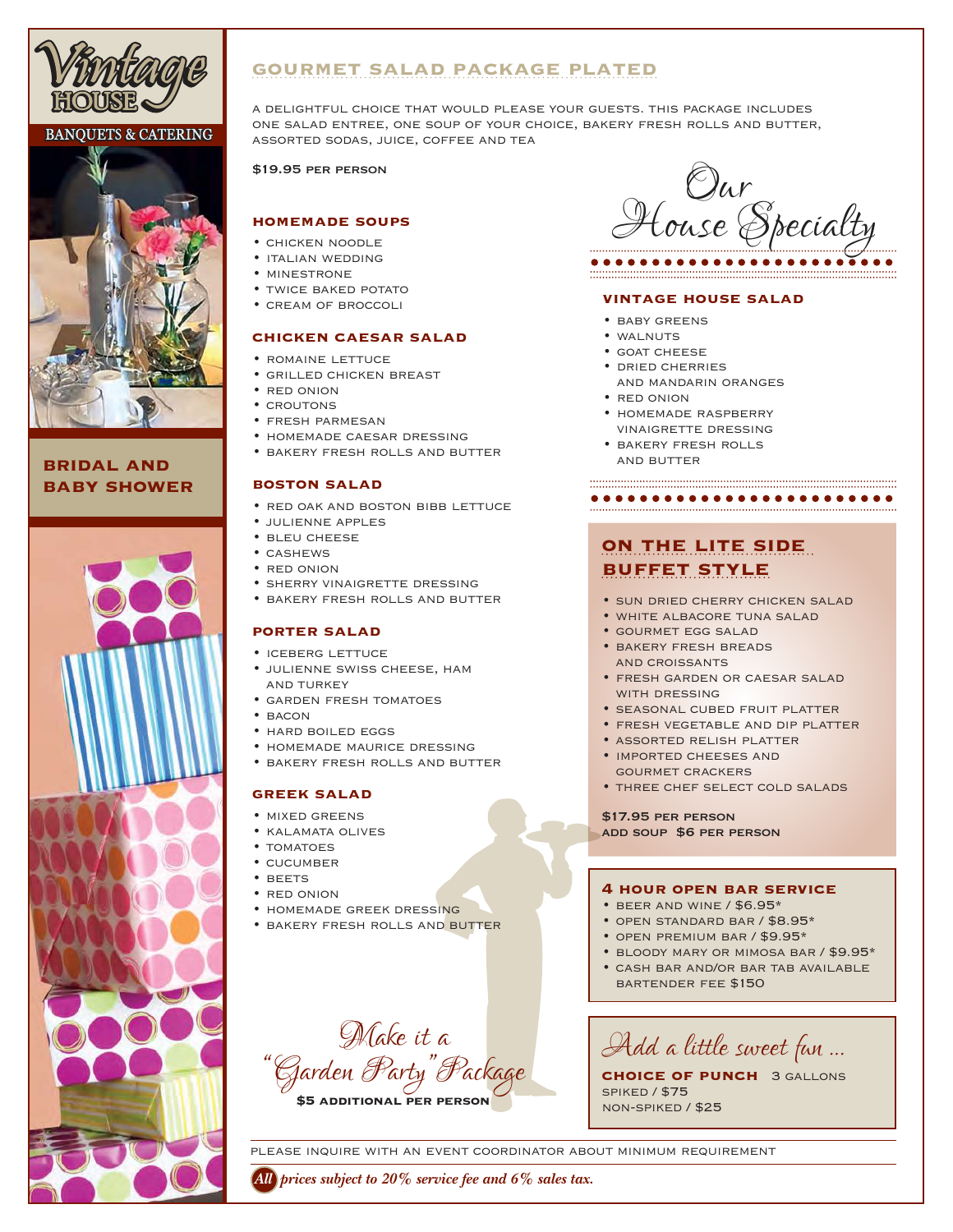

## **BANQUETS & CATERING**



# **bridal and baby shower**



# **gourmet salad package plated**

a delightful choice that would please your guests. this package includes one salad entree, one soup of your choice, bakery fresh rolls and butter, assorted sodas, juice, coffee and tea

\$19.95 per person

### **homemade soups**

- chicken noodle
- italian wedding
- minestrone
- TWICE BAKED POTATO
- cream of broccoli

### **chicken caesar salad**

- romaine lettuce
- grilled chicken breast
- red onion
- croutons
- fresh parmesan
- homemade caesar dressing
- bakery fresh rolls and butter

### **boston salad**

- red oak and boston bibb lettuce
- julienne apples
- bleu cheese
- cashews
- red onion
- sherry vinaigrette dressing
- bakery fresh rolls and butter

### **porter salad**

- iceberg lettuce
- julienne swiss cheese, ham and turkey
- garden fresh tomatoes
- $•$  BACON
- hard boiled eggs
- homemade maurice dressing
- bakery fresh rolls and butter

### **greek salad**

- mixed greens
- kalamata olives
- TOMATOES
- cucumber
- beets
- red onion
- homemade greek dressing
- bakery fresh rolls and butter



#### **vintage house salad**

- baby greens
- walnuts
- goat cheese
- dried cherries
	- and mandarin oranges
- red onion
- homemade raspberry vinaigrette dressing
- bakery fresh rolls and butter

### 

# **on the lite side buffet style**

- sun dried cherry chicken salad
- white albacore tuna salad
- gourmet egg salad
- bakery fresh breads and croissants
- fresh garden or caesar salad WITH DRESSING
- seasonal cubed fruit platter
- fresh vegetable and dip platter
- assorted relish platter
- imported cheeses and gourmet crackers
- three chef select cold salads

\$17.95 per person

add soup \$6 per person

### **4 hour open bar service**

- beer and wine / \$6.95\*
- open standard bar / \$8.95\*
- open premium bar / \$9.95\*
- bloody mary or mimosa bar / \$9.95\*
- cash bar and/or bar tab available bartender fee \$150

*Make it a "Garden Party " Package* **\$5 additional per person**

*Add a little sweet fun …*

**choice of punch** 3 gallons spiked / \$75 non-spiked / \$25

please inquire with an event coordinator about minimum requirement

*All prices subject to 20% service fee and 6% sales tax.*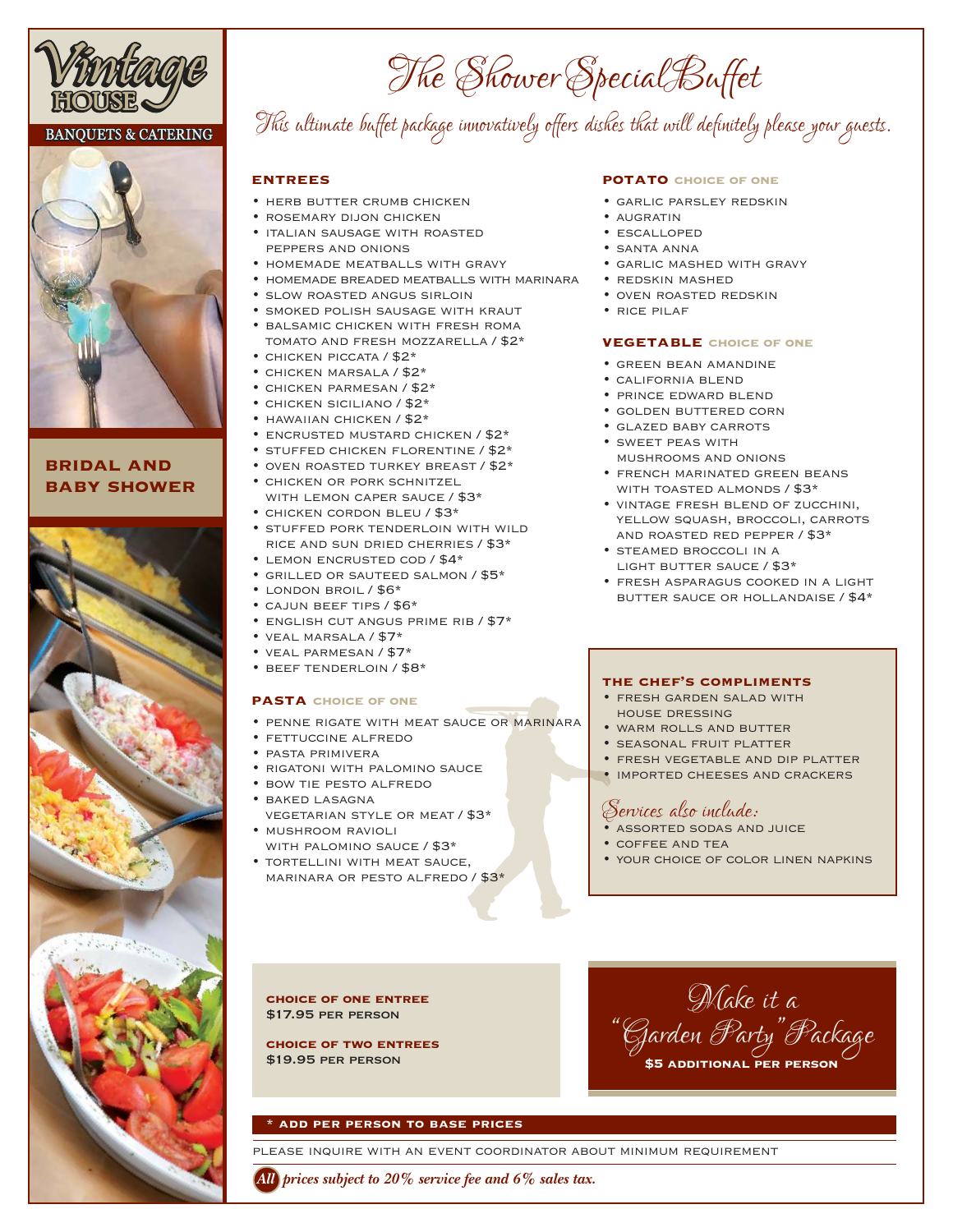

### **BANQUETS & CATERING**



# **bridal and baby shower**



# *This ultimate buffet package innovatively offers dishes that will definitely please your guests. The ShowerSpecialBuffet*

### **entrees**

- HERB BUTTER CRUMB CHICKEN
- rosemary dijon chicken
- italian sausage with roasted peppers and onions
- homemade meatballs with gravy
- homemade breaded meatballs with marinara
- slow roasted angus sirloin
- smoked polish sausage with kraut
- balsamic chicken with fresh roma tomato and fresh mozzarella / \$2\*
- chicken piccata / \$2\*
- chicken marsala / \$2\*
- chicken parmesan / \$2\*
- chicken siciliano / \$2\* • hawaiian chicken / \$2\*
- encrusted mustard chicken / \$2\*
- 
- STUFFED CHICKEN FLORENTINE / \$2\* • oven roasted turkey breast / \$2\*
- chicken or pork schnitzel WITH LEMON CAPER SAUCE / \$3\*
- chicken cordon bleu / \$3\* • stuffed pork tenderloin with wild
- rice and sun dried cherries / \$3\* • lemon encrusted cod / \$4\*
- grilled or sauteed salmon / \$5\*
- london broil / \$6\*
- cajun beef tips / \$6\*
- english cut angus prime rib / \$7\*
- veal marsala / \$7\*
- veal parmesan / \$7\*
- beef tenderloin / \$8\*

### **pasta choice of one**

- penne rigate with meat sauce or marinara
- fettuccine alfredo
- pasta primivera
- rigatoni with palomino sauce
- bow tie pesto alfredo • baked lasagna
- vegetarian style or meat / \$3\* • mushroom ravioli
- with palomino sauce / \$3\* • tortellini with meat sauce,
- marinara or pesto alfredo / \$3\*

### **potato choice of one**

- garlic parsley redskin
- AUGRATIN
- escalloped
- santa anna
- garlic mashed with gravy
- redskin mashed
- oven roasted redskin
- rice pilaf

### **vegetable choice of one**

- green bean amandine
- california blend
- prince edward blend
- golden buttered corn
- glazed baby carrots
- sweet peas with mushrooms and onions
- french marinated green beans WITH TOASTED ALMONDS / \$3\*
- vintage fresh blend of zucchini, yellow squash, broccoli, carrots and roasted red pepper / \$3\*
- steamed broccoli in a LIGHT BUTTER SAUCE / \$3\*
- fresh asparagus cooked in a light butter sauce or hollandaise / \$4\*

### **the chef's compliments**

- fresh garden salad with house dressing
- warm rolls and butter
- seasonal fruit platter
- fresh vegetable and dip platter
- imported cheeses and crackers

# *Services also include:*

- assorted sodas and juice
- coffee and tea
- your choice of color linen napkins

### **choice of one entree** \$17.95 per person

**choice of two entrees** \$19.95 per person



### **\* add per person to base prices**

please inquire with an event coordinator about minimum requirement

*All prices subject to 20% service fee and 6% sales tax.*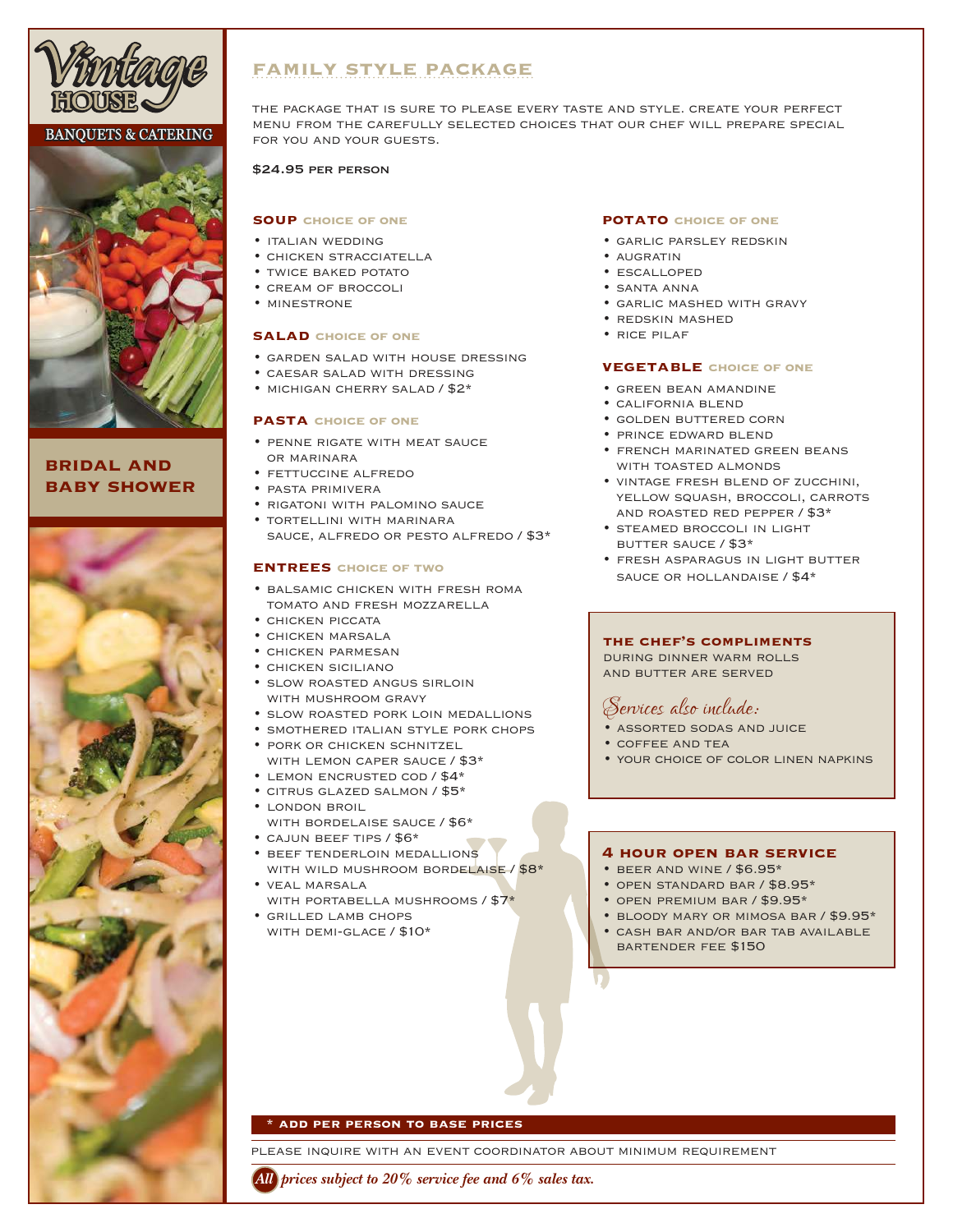

# **BANQUETS & CATERING**



# **bridal and baby shower**



# **family style package**

the package that is sure to please every taste and style. create your perfect menu from the carefully selected choices that our chef will prepare special for you and your guests.

### \$24.95 per person

### **soup choice of one**

- italian wedding
- chicken stracciatella
- twice baked potato
- cream of broccoli
- minestrone

### **salad choice of one**

- garden salad with house dressing
- caesar salad with dressing
- michigan cherry salad / \$2\*

### **pasta choice of one**

- penne rigate with meat sauce or marinara
- fettuccine alfredo
- pasta primivera
- rigatoni with palomino sauce
- tortellini with marinara sauce, alfredo or pesto alfredo / \$3\*

### **entrees choice of two**

- balsamic chicken with fresh roma tomato and fresh mozzarella
- chicken piccata
- chicken marsala
- chicken parmesan
- chicken siciliano
- slow roasted angus sirloin with mushroom gravy
- slow roasted pork loin medallions
- smothered italian style pork chops
- pork or chicken schnitzel WITH LEMON CAPER SAUCE / \$3\*
- lemon encrusted cod / \$4\*
- citrus glazed salmon / \$5\*
- london broil
- with bordelaise sauce / \$6\*
- cajun beef tips / \$6\*
- beef tenderloin medallions WITH WILD MUSHROOM BORDELAISE / \$8\* • veal marsala
- with portabella mushrooms / \$7\*
- grilled lamb chops with demi-glace / \$10\*

### **potato choice of one**

- garlic parsley redskin
- AUGRATIN
- escalloped
- santa anna
- garlic mashed with gravy
- redskin mashed
- rice pilaf

### **vegetable choice of one**

- green bean amandine
- california blend
- golden buttered corn
- prince edward blend
- french marinated green beans with toasted almonds
- vintage fresh blend of zucchini, YELLOW SQUASH, BROCCOLI, CARROTS and roasted red pepper / \$3\*
- steamed broccoli in light butter sauce / \$3\*
- fresh asparagus in light butter sauce or hollandaise / \$4\*

### **the chef's compliments**

during dinner warm rolls and butter are served

# *Services also include:*

- assorted sodas and juice
- coffee and tea
- your choice of color linen napkins

### **4 hour open bar service**

- beer and wine / \$6.95\*
- open standard bar / \$8.95\*
- open premium bar / \$9.95\*
- bloody mary or mimosa bar / \$9.95\*
- cash bar and/or bar tab available bartender fee \$150

### **\* add per person to base prices**

please inquire with an event coordinator about minimum requirement

*All prices subject to 20% service fee and 6% sales tax.*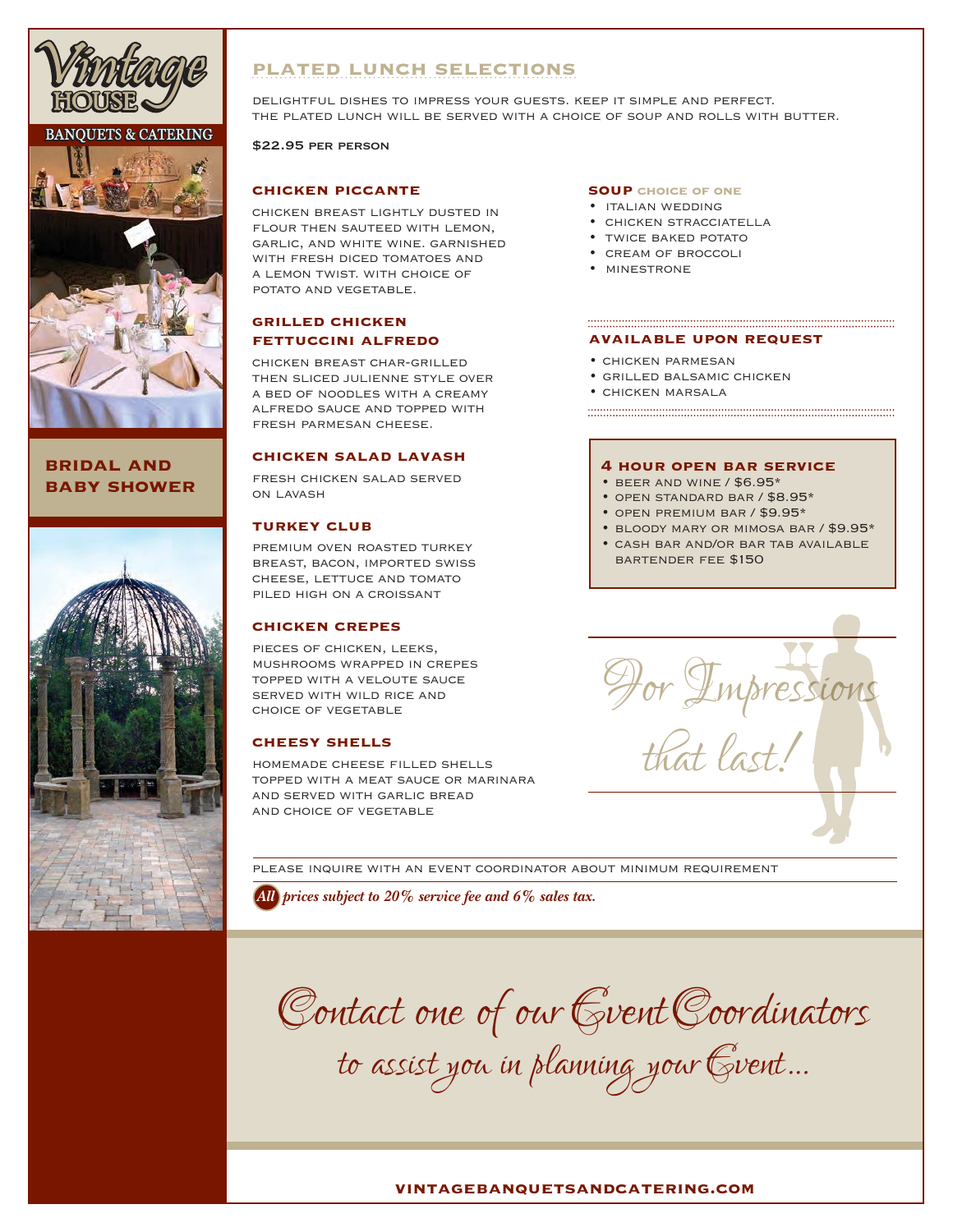

### **BANOUETS & CATERING**



# **bridal and baby shower**



# **plated lunch selections**

delightful dishes to impress your guests. keep it simple and perfect. the plated lunch will be served with a choice of soup and rolls with butter.

### \$22.95 per person

### **chicken piccante**

chicken breast lightly dusted in FLOUR THEN SAUTEED WITH LEMON. garlic, and white wine. garnished with fresh diced tomatoes and a lemon twist. with choice of potato and vegetable.

### **grilled chicken fettuccini alfredo**

chicken breast char-grilled then sliced julienne style over a bed of noodles with a creamy alfredo sauce and topped with fresh parmesan cheese.

### **chicken salad lavash**

fresh chicken salad served on lavash

### **turkey club**

premium oven roasted turkey breast, bacon, imported swiss cheese, lettuce and tomato piled high on a croissant

### **chicken crepes**

pieces of chicken, leeks, mushrooms wrapped in crepes topped with a veloute sauce served with wild rice and choice of vegetable

### **cheesy shells**

HOMEMADE CHEESE FILLED SHELLS topped with a meat sauce or marinara and served with garlic bread and choice of vegetable

#### **soup choice of one**

- italian wedding
- chicken stracciatella
- TWICE BAKED POTATO
- cream of broccoli
- minestrone

# **available upon request**

- chicken parmesan
- grilled balsamic chicken
- chicken marsala

#### **4 hour open bar service**

- $\cdot$  BEER AND WINE / \$6.95\*
- open standard bar / \$8.95\*
- open premium bar / \$9.95\*
- bloody mary or mimosa bar / \$9.95\*

• CASH BAR AND/OR BAR TAB AVAILABLE bartender fee \$150



please inquire with an event coordinator about minimum requirement

*All prices subject to 20% service fee and 6% sales tax.*

*Contact one of our Event Coordinators* 

*to assist you in planning your Event…*

### **vintagebanquetsandcatering.com**